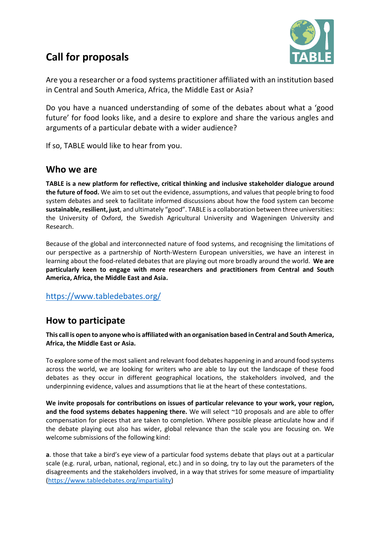

# **Call for proposals**

Are you a researcher or a food systems practitioner affiliated with an institution based in Central and South America, Africa, the Middle East or Asia?

Do you have a nuanced understanding of some of the debates about what a 'good future' for food looks like, and a desire to explore and share the various angles and arguments of a particular debate with a wider audience?

If so, TABLE would like to hear from you.

#### **Who we are**

**TABLE is a new platform for reflective, critical thinking and inclusive stakeholder dialogue around the future of food.** We aim to set out the evidence, assumptions, and values that people bring to food system debates and seek to facilitate informed discussions about how the food system can become **sustainable, resilient, just**, and ultimately "good". TABLE is a collaboration between three universities: the University of Oxford, the Swedish Agricultural University and Wageningen University and Research.

Because of the global and interconnected nature of food systems, and recognising the limitations of our perspective as a partnership of North-Western European universities, we have an interest in learning about the food-related debates that are playing out more broadly around the world. **We are particularly keen to engage with more researchers and practitioners from Central and South America, Africa, the Middle East and Asia.**

<https://www.tabledebates.org/>

## **How to participate**

**This call is open to anyone who is affiliated with an organisation based in Central and South America, Africa, the Middle East or Asia.**

To explore some of the most salient and relevant food debates happening in and around food systems across the world, we are looking for writers who are able to lay out the landscape of these food debates as they occur in different geographical locations, the stakeholders involved, and the underpinning evidence, values and assumptions that lie at the heart of these contestations.

**We invite proposals for contributions on issues of particular relevance to your work, your region, and the food systems debates happening there.** We will select ~10 proposals and are able to offer compensation for pieces that are taken to completion. Where possible please articulate how and if the debate playing out also has wider, global relevance than the scale you are focusing on. We welcome submissions of the following kind:

**a**. those that take a bird's eye view of a particular food systems debate that plays out at a particular scale (e.g. rural, urban, national, regional, etc.) and in so doing, try to lay out the parameters of the disagreements and the stakeholders involved, in a way that strives for some measure of impartiality [\(https://www.tabledebates.org/impartiality\)](https://www.tabledebates.org/impartiality)